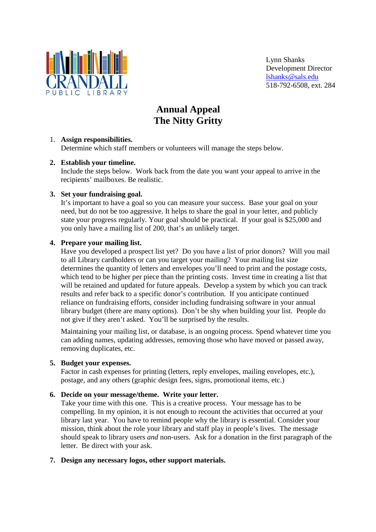

Lynn Shanks Development Director lshanks@sals.edu 518-792-6508, ext. 284

# **Annual Appeal The Nitty Gritty**

## 1. **Assign responsibilities.**

Determine which staff members or volunteers will manage the steps below.

## **2. Establish your timeline.**

Include the steps below. Work back from the date you want your appeal to arrive in the recipients' mailboxes. Be realistic.

## **3. Set your fundraising goal.**

It's important to have a goal so you can measure your success. Base your goal on your need, but do not be too aggressive. It helps to share the goal in your letter, and publicly state your progress regularly. Your goal should be practical. If your goal is \$25,000 and you only have a mailing list of 200, that's an unlikely target.

## **4. Prepare your mailing list.**

Have you developed a prospect list yet? Do you have a list of prior donors? Will you mail to all Library cardholders or can you target your mailing? Your mailing list size determines the quantity of letters and envelopes you'll need to print and the postage costs, which tend to be higher per piece than the printing costs. Invest time in creating a list that will be retained and updated for future appeals. Develop a system by which you can track results and refer back to a specific donor's contribution. If you anticipate continued reliance on fundraising efforts, consider including fundraising software in your annual library budget (there are many options). Don't be shy when building your list. People do not give if they aren't asked. You'll be surprised by the results.

Maintaining your mailing list, or database, is an ongoing process. Spend whatever time you can adding names, updating addresses, removing those who have moved or passed away, removing duplicates, etc.

## **5. Budget your expenses.**

Factor in cash expenses for printing (letters, reply envelopes, mailing envelopes, etc.), postage, and any others (graphic design fees, signs, promotional items, etc.)

## **6. Decide on your message/theme. Write your letter.**

Take your time with this one. This is a creative process. Your message has to be compelling. In my opinion, it is not enough to recount the activities that occurred at your library last year. You have to remind people why the library is essential. Consider your mission, think about the role your library and staff play in people's lives. The message should speak to library users *and* non-users. Ask for a donation in the first paragraph of the letter. Be direct with your ask.

## **7. Design any necessary logos, other support materials.**